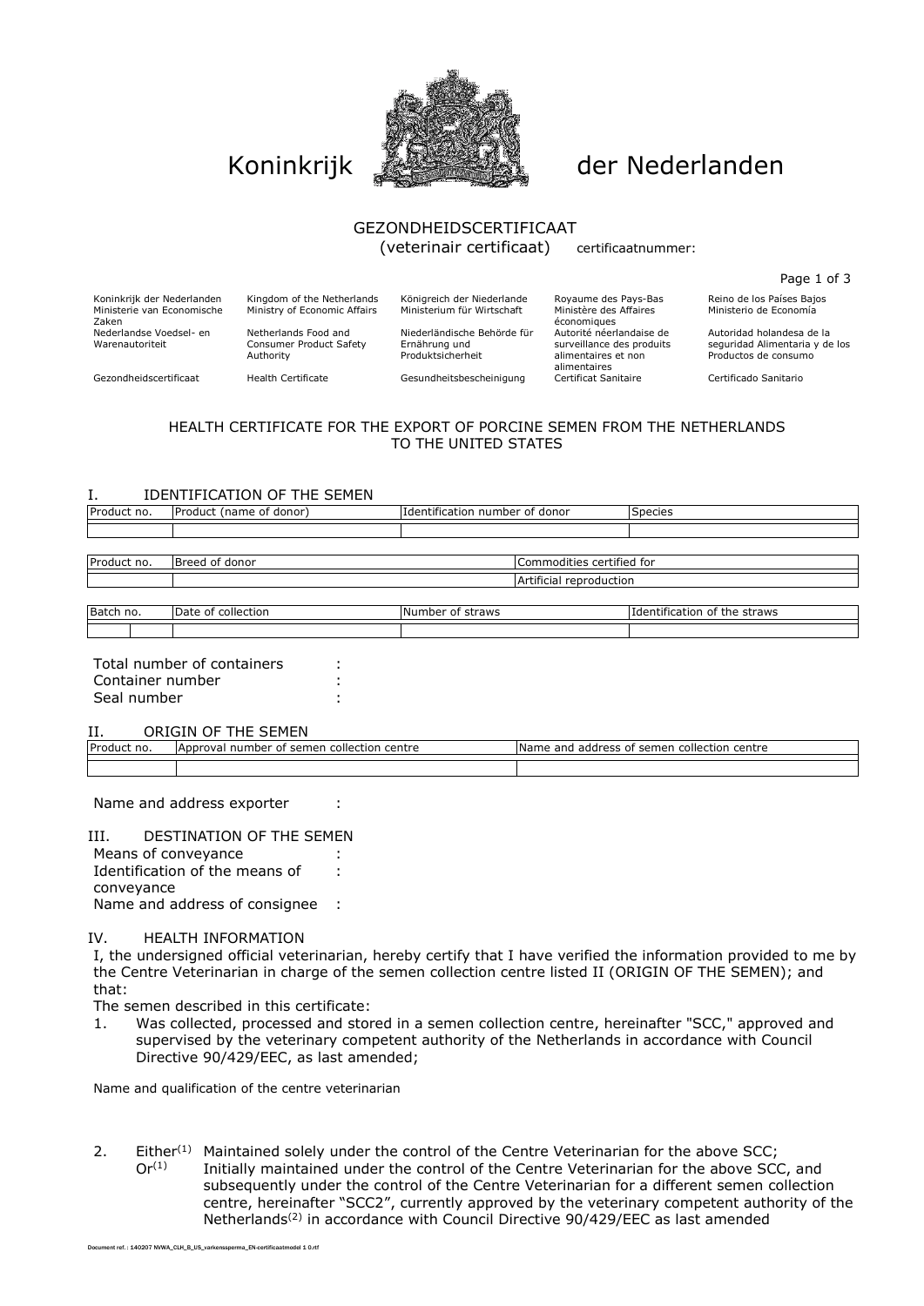

# Koninkrijk **Allen der Nederlanden**

### GEZONDHEIDSCERTIFICAAT (veterinair certificaat) certificaatnummer:

Page 1 of 3

Koninkrijk der Nederlanden Kingdom of the Netherlands Königreich der Niederlande Royaume des Pays-Bas Reino de los Países Bajos<br>Ministerie van Economische Ministry of Economic Affairs Ministerium für Wirtschaft Ministère d Ministerio de Economía

Zaken Nederlandse Voedsel- en Warenautoriteit

Ministerie van Economische

Netherlands Food and Consumer Product Safety Authority

Ministry of Economic Affairs

Niederländische Behörde für Ernährung und Produktsicherheit

économiques Autorité néerlandaise de surveillance des produits alimentaires et non alimentaires

Autoridad holandesa de la seguridad Alimentaria y de los Productos de consumo

Gezondheidscertificaat Health Certificate Gesundheitsbescheinigung Certificat Sanitaire Certificado Sanitario

## HEALTH CERTIFICATE FOR THE EXPORT OF PORCINE SEMEN FROM THE NETHERLANDS TO THE UNITED STATES

#### I. IDENTIFICATION OF THE SEMEN

| Product no. | Product (name of donor) | I Identification number of donor | <b>Species</b>          |  |
|-------------|-------------------------|----------------------------------|-------------------------|--|
|             |                         |                                  |                         |  |
|             |                         |                                  |                         |  |
| Product no. | Breed of donor          | Commodities certified for        |                         |  |
|             |                         |                                  | Artificial reproduction |  |
|             |                         |                                  |                         |  |

Batch no. Date of collection Number of straws Identification of the straws Intervention of the straws

| Total number of containers |  |
|----------------------------|--|
| Container number           |  |
| Seal number                |  |
|                            |  |

II. ORIGIN OF THE SEMEN

| Product<br>no. | collection centre<br>semen<br>TApprova <sub>r</sub><br>, number<br>- of | Name and<br>collection<br>centre<br>address of<br>semen |
|----------------|-------------------------------------------------------------------------|---------------------------------------------------------|
|                |                                                                         |                                                         |
|                |                                                                         |                                                         |

Name and address exporter :

#### III. DESTINATION OF THE SEMEN

Means of conveyance : Identification of the means of conveyance : Name and address of consignee :

#### IV. HEALTH INFORMATION

I, the undersigned official veterinarian, hereby certify that I have verified the information provided to me by the Centre Veterinarian in charge of the semen collection centre listed II (ORIGIN OF THE SEMEN); and that:

The semen described in this certificate:

1. Was collected, processed and stored in a semen collection centre, hereinafter "SCC," approved and supervised by the veterinary competent authority of the Netherlands in accordance with Council Directive 90/429/EEC, as last amended;

Name and qualification of the centre veterinarian

2. Either<sup>(1)</sup> Maintained solely under the control of the Centre Veterinarian for the above SCC;  $Or<sup>(1)</sup>$  Initially maintained under the control of the Centre Veterinarian for the above SCC, and subsequently under the control of the Centre Veterinarian for a different semen collection centre, hereinafter "SCC2", currently approved by the veterinary competent authority of the Netherlands(2) in accordance with Council Directive 90/429/EEC as last amended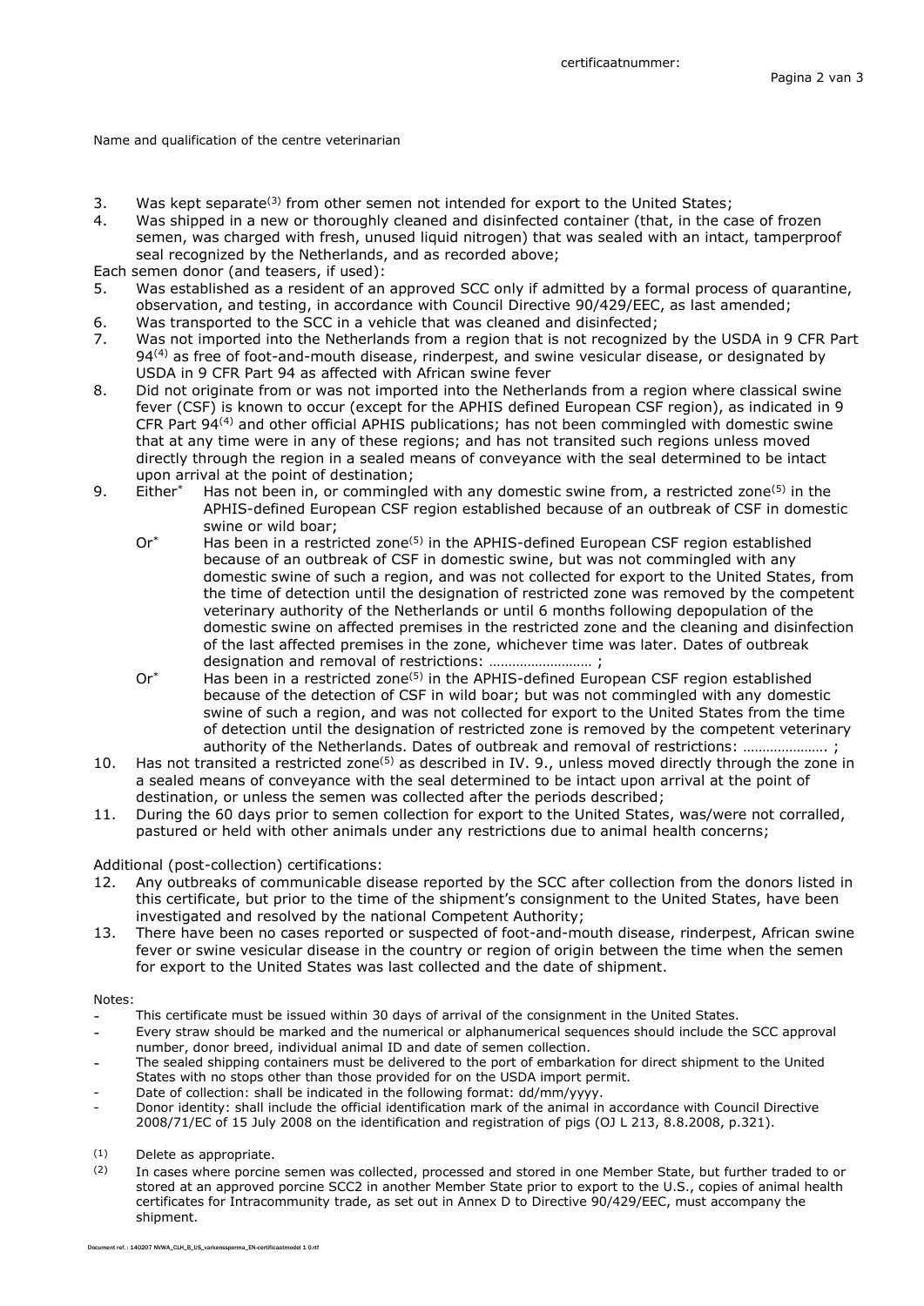Name and qualification of the centre veterinarian

- 3. Was kept separate<sup>(3)</sup> from other semen not intended for export to the United States;
- 4. Was shipped in a new or thoroughly cleaned and disinfected container (that, in the case of frozen semen, was charged with fresh, unused liquid nitrogen) that was sealed with an intact, tamperproof seal recognized by the Netherlands, and as recorded above;

Each semen donor (and teasers, if used):

- 5. Was established as a resident of an approved SCC only if admitted by a formal process of quarantine, observation, and testing, in accordance with Council Directive 90/429/EEC, as last amended;
- 6. Was transported to the SCC in a vehicle that was cleaned and disinfected;
- 7. Was not imported into the Netherlands from a region that is not recognized by the USDA in 9 CFR Part 94<sup>(4)</sup> as free of foot-and-mouth disease, rinderpest, and swine vesicular disease, or designated by USDA in 9 CFR Part 94 as affected with African swine fever
- 8. Did not originate from or was not imported into the Netherlands from a region where classical swine fever (CSF) is known to occur (except for the APHIS defined European CSF region), as indicated in 9 CFR Part 94(4) and other official APHIS publications; has not been commingled with domestic swine that at any time were in any of these regions; and has not transited such regions unless moved directly through the region in a sealed means of conveyance with the seal determined to be intact upon arrival at the point of destination;
- 9. Either<sup>\*</sup> Has not been in, or commingled with any domestic swine from, a restricted zone<sup>(5)</sup> in the APHIS-defined European CSF region established because of an outbreak of CSF in domestic swine or wild boar;
	- $Or^*$  Has been in a restricted zone<sup>(5)</sup> in the APHIS-defined European CSF region established because of an outbreak of CSF in domestic swine, but was not commingled with any domestic swine of such a region, and was not collected for export to the United States, from the time of detection until the designation of restricted zone was removed by the competent veterinary authority of the Netherlands or until 6 months following depopulation of the domestic swine on affected premises in the restricted zone and the cleaning and disinfection of the last affected premises in the zone, whichever time was later. Dates of outbreak designation and removal of restrictions: ……………………… ;
	- $Or^*$  Has been in a restricted zone<sup>(5)</sup> in the APHIS-defined European CSF region established because of the detection of CSF in wild boar; but was not commingled with any domestic swine of such a region, and was not collected for export to the United States from the time of detection until the designation of restricted zone is removed by the competent veterinary authority of the Netherlands. Dates of outbreak and removal of restrictions: …………………. ;
- 10. Has not transited a restricted zone(5) as described in IV. 9., unless moved directly through the zone in a sealed means of conveyance with the seal determined to be intact upon arrival at the point of destination, or unless the semen was collected after the periods described;
- 11. During the 60 days prior to semen collection for export to the United States, was/were not corralled, pastured or held with other animals under any restrictions due to animal health concerns;

#### Additional (post-collection) certifications:

- 12. Any outbreaks of communicable disease reported by the SCC after collection from the donors listed in this certificate, but prior to the time of the shipment's consignment to the United States, have been investigated and resolved by the national Competent Authority;
- 13. There have been no cases reported or suspected of foot-and-mouth disease, rinderpest, African swine fever or swine vesicular disease in the country or region of origin between the time when the semen for export to the United States was last collected and the date of shipment.

#### Notes:

- This certificate must be issued within 30 days of arrival of the consignment in the United States.
- Every straw should be marked and the numerical or alphanumerical sequences should include the SCC approval number, donor breed, individual animal ID and date of semen collection.
- The sealed shipping containers must be delivered to the port of embarkation for direct shipment to the United States with no stops other than those provided for on the USDA import permit.
- Date of collection: shall be indicated in the following format: dd/mm/yyyy.
- Donor identity: shall include the official identification mark of the animal in accordance with Council Directive 2008/71/EC of 15 July 2008 on the identification and registration of pigs (OJ L 213, 8.8.2008, p.321).

(1) Delete as appropriate.

(2) In cases where porcine semen was collected, processed and stored in one Member State, but further traded to or stored at an approved porcine SCC2 in another Member State prior to export to the U.S., copies of animal health certificates for Intracommunity trade, as set out in Annex D to Directive 90/429/EEC, must accompany the shipment.